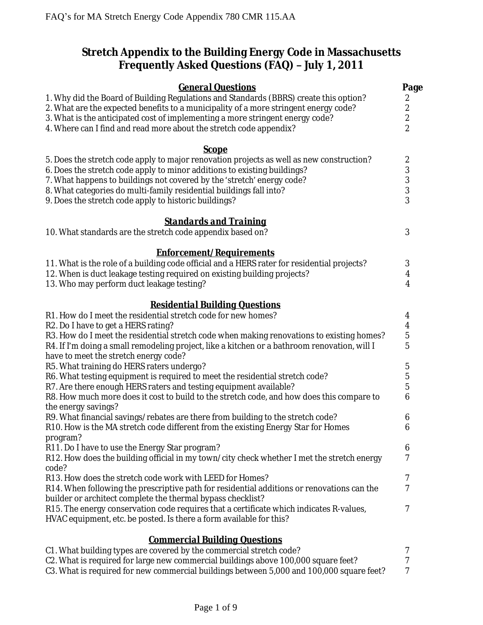## **Stretch Appendix to the Building Energy Code in Massachusetts Frequently Asked Questions (FAQ) – July 1, 2011**

| <b>General Questions</b>                                                                                                              | Page                                       |
|---------------------------------------------------------------------------------------------------------------------------------------|--------------------------------------------|
| 1. Why did the Board of Building Regulations and Standards (BBRS) create this option?                                                 | 2                                          |
| 2. What are the expected benefits to a municipality of a more stringent energy code?                                                  | $\overline{c}$                             |
| 3. What is the anticipated cost of implementing a more stringent energy code?                                                         | $\overline{\mathbf{c}}$                    |
| 4. Where can I find and read more about the stretch code appendix?                                                                    | $\overline{2}$                             |
| <b>Scope</b>                                                                                                                          |                                            |
| 5. Does the stretch code apply to major renovation projects as well as new construction?                                              | $\boldsymbol{2}$                           |
| 6. Does the stretch code apply to minor additions to existing buildings?                                                              | $\begin{array}{c} 3 \\ 3 \\ 3 \end{array}$ |
| 7. What happens to buildings not covered by the 'stretch' energy code?                                                                |                                            |
| 8. What categories do multi-family residential buildings fall into?                                                                   |                                            |
| 9. Does the stretch code apply to historic buildings?                                                                                 |                                            |
| <b>Standards and Training</b>                                                                                                         |                                            |
| 10. What standards are the stretch code appendix based on?                                                                            | 3                                          |
| <b>Enforcement/Requirements</b>                                                                                                       |                                            |
| 11. What is the role of a building code official and a HERS rater for residential projects?                                           | $\sqrt{3}$                                 |
| 12. When is duct leakage testing required on existing building projects?                                                              | $\boldsymbol{4}$                           |
| 13. Who may perform duct leakage testing?                                                                                             | $\overline{4}$                             |
| <b>Residential Building Questions</b>                                                                                                 |                                            |
| R1. How do I meet the residential stretch code for new homes?                                                                         | $\overline{4}$                             |
| R2. Do I have to get a HERS rating?                                                                                                   | $\overline{4}$                             |
| R3. How do I meet the residential stretch code when making renovations to existing homes?                                             | $\overline{5}$                             |
| R4. If I'm doing a small remodeling project, like a kitchen or a bathroom renovation, will I<br>have to meet the stretch energy code? | $\overline{5}$                             |
| R5. What training do HERS raters undergo?                                                                                             | $\overline{5}$                             |
| R6. What testing equipment is required to meet the residential stretch code?                                                          | $\overline{5}$                             |
| R7. Are there enough HERS raters and testing equipment available?                                                                     | $\overline{5}$                             |
| R8. How much more does it cost to build to the stretch code, and how does this compare to<br>the energy savings?                      | $\,6\,$                                    |
| R9. What financial savings/rebates are there from building to the stretch code?                                                       | 6                                          |
| R10. How is the MA stretch code different from the existing Energy Star for Homes<br>program?                                         | $\boldsymbol{6}$                           |
| R11. Do I have to use the Energy Star program?                                                                                        | $6\phantom{.}6$                            |
| R12. How does the building official in my town/city check whether I met the stretch energy<br>code?                                   | 7                                          |
| R13. How does the stretch code work with LEED for Homes?                                                                              | 7                                          |
| R14. When following the prescriptive path for residential additions or renovations can the                                            | 7                                          |
| builder or architect complete the thermal bypass checklist?                                                                           |                                            |
| R15. The energy conservation code requires that a certificate which indicates R-values,                                               | 7                                          |
| HVAC equipment, etc. be posted. Is there a form available for this?                                                                   |                                            |
| <b>Commercial Building Questions</b>                                                                                                  |                                            |

#### C1. What building types are covered by the commercial stretch code?<br>C2. What is required for large new commercial buildings above 100,000 square feet? C2. What is required for large new commercial buildings above 100,000 square feet?<br>C3. What is required for new commercial buildings between 5.000 and 100.000 square feet? C3. What is required for new commercial buildings between 5,000 and 100,000 square feet?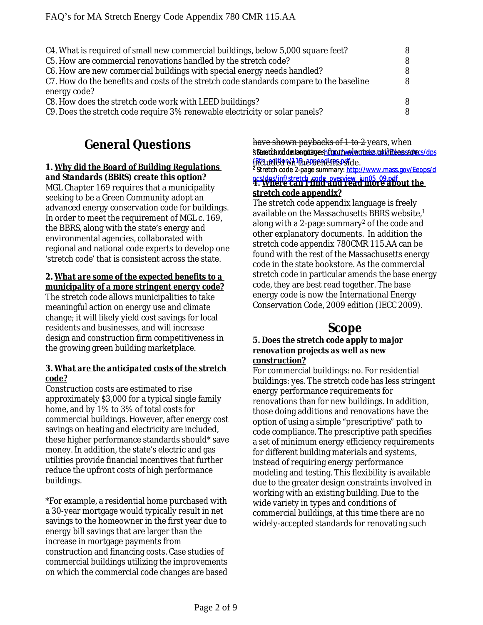| C4. What is required of small new commercial buildings, below 5,000 square feet?        |  |
|-----------------------------------------------------------------------------------------|--|
| C5. How are commercial renovations handled by the stretch code?                         |  |
| C6. How are new commercial buildings with special energy needs handled?                 |  |
| C7. How do the benefits and costs of the stretch code standards compare to the baseline |  |
| energy code?                                                                            |  |
| C8. How does the stretch code work with LEED buildings?                                 |  |
| C9. Does the stretch code require 3% renewable electricity or solar panels?             |  |
|                                                                                         |  |

## **General Questions**

#### **1.** *Why did the Board of Building Regulations and Standards (BBRS) create this option?*

MGL Chapter 169 requires that a municipality seeking to be a Green Community adopt an advanced energy conservation code for buildings. In order to meet the requirement of MGL c. 169, the BBRS, along with the state's energy and environmental agencies, collaborated with regional and national code experts to develop one 'stretch code' that is consistent across the state.

#### **2.** *What are some of the expected benefits to a municipality of a more stringent energy code?*

The stretch code allows municipalities to take meaningful action on energy use and climate change; it will likely yield cost savings for local residents and businesses, and will increase design and construction firm competitiveness in the growing green building marketplace.

#### **3.** *What are the anticipated costs of the stretch code?*

Construction costs are estimated to rise approximately \$3,000 for a typical single family home, and by 1% to 3% of total costs for commercial buildings. However, after energy cost savings on heating and electricity are included, these higher performance standards should\* save money. In addition, the state's electric and gas utilities provide financial incentives that further reduce the upfront costs of high performance buildings.

\*For example, a residential home purchased with a 30-year mortgage would typically result in net savings to the homeowner in the first year due to energy bill savings that are larger than the increase in mortgage payments from construction and financing costs. Case studies of commercial buildings utilizing the improvements on which the commercial code changes are based

s Sanat cha cod den la egut a<del>ge <u>shftp://www.marchaiss.gov/AT de p</u>s://dps://dps</del> <mark>íßttludtid@M1thenbendiffessh</mark>ide.<br><sup>2</sup> Stretch code 2-page summary: <u>http://www.mass.gov/Eeops/d</u> have shown paybacks of 1 to 2 years, when i**ncluded on the benefits si**de.

## ocs/dps/inf/stretch\_code\_overview\_jun05\_09.pdf **4.** *Where can I find and read more about the stretch code appendix?*

The stretch code appendix language is freely available on the Massachusetts BBRS website,<sup>1</sup> along with a 2-page summary<sup>2</sup> of the code and other explanatory documents. In addition the stretch code appendix 780CMR 115.AA can be found with the rest of the Massachusetts energy code in the state bookstore. As the commercial stretch code in particular amends the base energy code, they are best read together. The base energy code is now the International Energy Conservation Code, 2009 edition (IECC 2009).

## **Scope**

#### **5.** *Does the stretch code apply to major renovation projects as well as new construction?*

For commercial buildings: no. For residential buildings: yes. The stretch code has less stringent energy performance requirements for renovations than for new buildings. In addition, those doing additions and renovations have the option of using a simple "prescriptive" path to code compliance. The prescriptive path specifies a set of minimum energy efficiency requirements for different building materials and systems, instead of requiring energy performance modeling and testing. This flexibility is available due to the greater design constraints involved in working with an existing building. Due to the wide variety in types and conditions of commercial buildings, at this time there are no widely-accepted standards for renovating such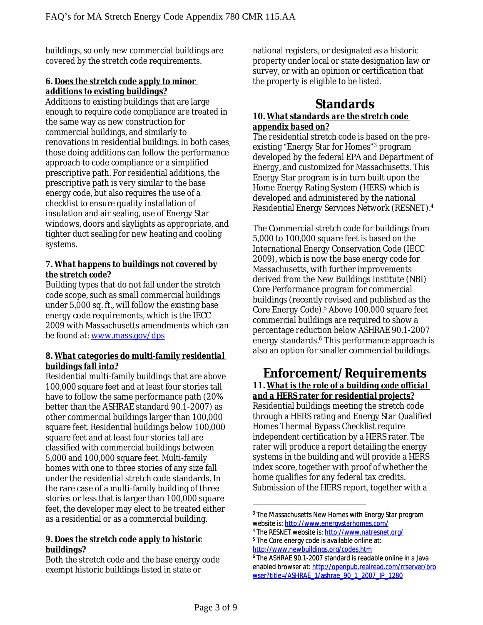buildings, so only new commercial buildings are covered by the stretch code requirements.

#### **6.** *Does the stretch code apply to minor additions to existing buildings?*

Additions to existing buildings that are large enough to require code compliance are treated in the same way as new construction for commercial buildings, and similarly to renovations in residential buildings. In both cases, those doing additions can follow the performance approach to code compliance or a simplified prescriptive path. For residential additions, the prescriptive path is very similar to the base energy code, but also requires the use of a checklist to ensure quality installation of insulation and air sealing, use of Energy Star windows, doors and skylights as appropriate, and tighter duct sealing for new heating and cooling systems.

#### **7.** *What happens to buildings not covered by the stretch code?*

Building types that do not fall under the stretch code scope, such as small commercial buildings under 5,000 sq. ft., will follow the existing base energy code requirements, which is the IECC 2009 with Massachusetts amendments which can be found at: [www.mass.gov/dps](http://www.mass.gov/dps)

#### **8.** *What categories do multi-family residential buildings fall into?*

Residential multi-family buildings that are above 100,000 square feet and at least four stories tall have to follow the same performance path (20% better than the ASHRAE standard 90.1-2007) as other commercial buildings larger than 100,000 square feet. Residential buildings below 100,000 square feet and at least four stories tall are classified with commercial buildings between 5,000 and 100,000 square feet. Multi-family homes with one to three stories of any size fall under the residential stretch code standards. In the rare case of a multi-family building of three stories or less that is larger than 100,000 square feet, the developer may elect to be treated either as a residential or as a commercial building.

#### **9.** *Does the stretch code apply to historic buildings?*

Both the stretch code and the base energy code exempt historic buildings listed in state or

national registers, or designated as a historic property under local or state designation law or survey, or with an opinion or certification that the property is eligible to be listed.

## **Standards**

#### **10.** *What standards are the stretch code appendix based on?*

The residential stretch code is based on the preexisting "Energy Star for Homes"<sup>3</sup> program developed by the federal EPA and Department of Energy, and customized for Massachusetts. This Energy Star program is in turn built upon the Home Energy Rating System (HERS) which is developed and administered by the national Residential Energy Services Network (RESNET). 4

The Commercial stretch code for buildings from 5,000 to 100,000 square feet is based on the International Energy Conservation Code (IECC 2009), which is now the base energy code for Massachusetts, with further improvements derived from the New Buildings Institute (NBI) Core Performance program for commercial buildings (recently revised and published as the Core Energy Code).<sup>5</sup> Above 100,000 square feet commercial buildings are required to show a percentage reduction below ASHRAE 90.1-2007 energy standards.<sup>6</sup> This performance approach is also an option for smaller commercial buildings.

#### **Enforcement/Requirements 11.** *What is the role of a building code official and a HERS rater for residential projects?*

Residential buildings meeting the stretch code through a HERS rating and Energy Star Qualified Homes Thermal Bypass Checklist require independent certification by a HERS rater. The rater will produce a report detailing the energy systems in the building and will provide a HERS index score, together with proof of whether the home qualifies for any federal tax credits. Submission of the HERS report, together with a

<http://www.newbuildings.org/codes.htm>

<sup>3</sup> The Massachusetts New Homes with Energy Star program website is:<http://www.energystarhomes.com/>

<sup>4</sup> The RESNET website is: <http://www.natresnet.org/> <sup>5</sup> The Core energy code is available online at:

<sup>6</sup> The ASHRAE 90.1-2007 standard is readable online in a Java enabled browser at: [http://openpub.realread.com/rrserver/bro](http://openpub.realread.com/rrserver/browser?title=/ASHRAE_1/ashrae_90_1_2007_IP_1280) wser?title=/ASHRAE\_1/ashrae\_90\_1\_2007\_IP\_1280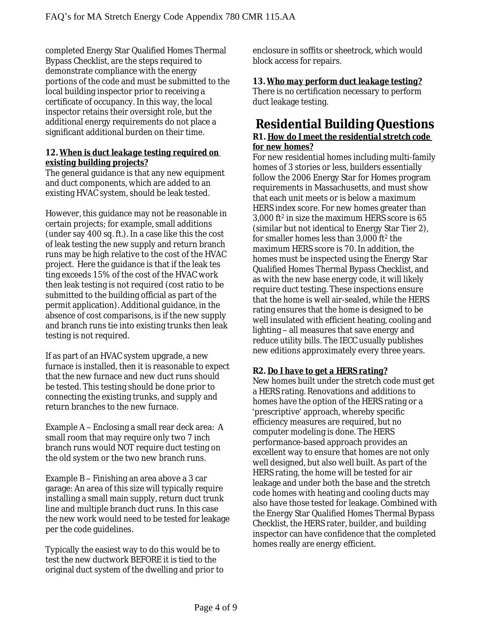completed Energy Star Qualified Homes Thermal Bypass Checklist, are the steps required to demonstrate compliance with the energy portions of the code and must be submitted to the local building inspector prior to receiving a certificate of occupancy. In this way, the local inspector retains their oversight role, but the additional energy requirements do not place a significant additional burden on their time.

#### **12.** *When is duct leakage testing required on existing building projects?*

The general guidance is that any new equipment and duct components, which are added to an existing HVAC system, should be leak tested.

However, this guidance may not be reasonable in certain projects; for example, small additions (under say 400 sq. ft.). In a case like this the cost of leak testing the new supply and return branch runs may be high relative to the cost of the HVAC project. Here the guidance is that if the leak tes ting exceeds 15% of the cost of the HVAC work then leak testing is not required (cost ratio to be submitted to the building official as part of the permit application). Additional guidance, in the absence of cost comparisons, is if the new supply and branch runs tie into existing trunks then leak testing is not required.

If as part of an HVAC system upgrade, a new furnace is installed, then it is reasonable to expect that the new furnace and new duct runs should be tested. This testing should be done prior to connecting the existing trunks, and supply and return branches to the new furnace.

Example A – Enclosing a small rear deck area: A small room that may require only two 7 inch branch runs would NOT require duct testing on the old system or the two new branch runs.

Example B – Finishing an area above a 3 car garage: An area of this size will typically require installing a small main supply, return duct trunk line and multiple branch duct runs. In this case the new work would need to be tested for leakage per the code guidelines.

Typically the easiest way to do this would be to test the new ductwork BEFORE it is tied to the original duct system of the dwelling and prior to enclosure in soffits or sheetrock, which would block access for repairs.

#### **13.** *Who may perform duct leakage testing?*

There is no certification necessary to perform duct leakage testing.

#### **Residential Building Questions R1.** *How do I meet the residential stretch code for new homes?*

For new residential homes including multi-family homes of 3 stories or less, builders essentially follow the 2006 Energy Star for Homes program requirements in Massachusetts, and must show that each unit meets or is below a maximum HERS index score. For new homes greater than 3,000 ft<sup>2</sup> in size the maximum HERS score is  $65$ (similar but not identical to Energy Star Tier 2), for smaller homes less than 3,000 ft<sup>2</sup> the maximum HERS score is 70. In addition, the homes must be inspected using the Energy Star Qualified Homes Thermal Bypass Checklist, and as with the new base energy code, it will likely require duct testing. These inspections ensure that the home is well air-sealed, while the HERS rating ensures that the home is designed to be well insulated with efficient heating, cooling and lighting – all measures that save energy and reduce utility bills. The IECC usually publishes new editions approximately every three years.

#### **R2.** *Do I have to get a HERS rating?*

New homes built under the stretch code must get a HERS rating. Renovations and additions to homes have the option of the HERS rating or a 'prescriptive' approach, whereby specific efficiency measures are required, but no computer modeling is done. The HERS performance-based approach provides an excellent way to ensure that homes are not only well designed, but also well built. As part of the HERS rating, the home will be tested for air leakage and under both the base and the stretch code homes with heating and cooling ducts may also have those tested for leakage. Combined with the Energy Star Qualified Homes Thermal Bypass Checklist, the HERS rater, builder, and building inspector can have confidence that the completed homes really are energy efficient.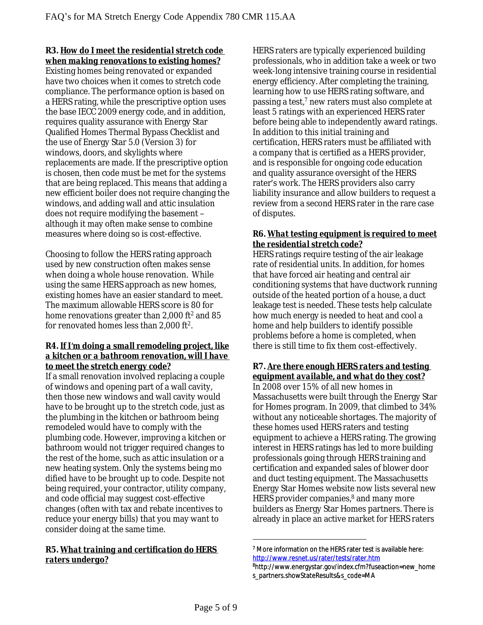#### **R3.** *How do I meet the residential stretch code when making renovations to existing homes?*

Existing homes being renovated or expanded have two choices when it comes to stretch code compliance. The performance option is based on a HERS rating, while the prescriptive option uses the base IECC 2009 energy code, and in addition, requires quality assurance with Energy Star Qualified Homes Thermal Bypass Checklist and the use of Energy Star 5.0 (Version 3) for windows, doors, and skylights where replacements are made. If the prescriptive option is chosen, then code must be met for the systems that are being replaced. This means that adding a new efficient boiler does not require changing the windows, and adding wall and attic insulation does not require modifying the basement – although it may often make sense to combine measures where doing so is cost-effective.

Choosing to follow the HERS rating approach used by new construction often makes sense when doing a whole house renovation. While using the same HERS approach as new homes, existing homes have an easier standard to meet. The maximum allowable HERS score is 80 for home renovations greater than 2,000 ft<sup>2</sup> and 85 for renovated homes less than 2,000 ft<sup>2</sup>.

#### **R4.** *If I'm doing a small remodeling project, like a kitchen or a bathroom renovation, will I have to meet the stretch energy code?*

If a small renovation involved replacing a couple of windows and opening part of a wall cavity, then those new windows and wall cavity would have to be brought up to the stretch code, just as the plumbing in the kitchen or bathroom being remodeled would have to comply with the plumbing code. However, improving a kitchen or bathroom would not trigger required changes to the rest of the home, such as attic insulation or a new heating system. Only the systems being mo dified have to be brought up to code. Despite not being required, your contractor, utility company, and code official may suggest cost-effective changes (often with tax and rebate incentives to reduce your energy bills) that you may want to consider doing at the same time.

#### **R5.** *What training and certification do HERS raters undergo?*

HERS raters are typically experienced building professionals, who in addition take a week or two week-long intensive training course in residential energy efficiency. After completing the training, learning how to use HERS rating software, and passing a test,<sup>7</sup> new raters must also complete at least 5 ratings with an experienced HERS rater before being able to independently award ratings. In addition to this initial training and certification, HERS raters must be affiliated with a company that is certified as a HERS provider, and is responsible for ongoing code education and quality assurance oversight of the HERS rater's work. The HERS providers also carry liability insurance and allow builders to request a review from a second HERS rater in the rare case of disputes.

#### **R6.** *What testing equipment is required to meet the residential stretch code?*

HERS ratings require testing of the air leakage rate of residential units. In addition, for homes that have forced air heating and central air conditioning systems that have ductwork running outside of the heated portion of a house, a duct leakage test is needed. These tests help calculate how much energy is needed to heat and cool a home and help builders to identify possible problems before a home is completed, when there is still time to fix them cost-effectively.

### **R7.** *Are there enough HERS raters and testing equipment available, and what do they cost?*

In 2008 over 15% of all new homes in Massachusetts were built through the Energy Star for Homes program. In 2009, that climbed to 34% without any noticeable shortages. The majority of these homes used HERS raters and testing equipment to achieve a HERS rating. The growing interest in HERS ratings has led to more building professionals going through HERS training and certification and expanded sales of blower door and duct testing equipment. The Massachusetts Energy Star Homes website now lists several new HERS provider companies,<sup>8</sup> and many more builders as Energy Star Homes partners. There is already in place an active market for HERS raters

<sup>7</sup> More information on the HERS rater test is available here: <http://www.resnet.us/rater/tests/rater.htm>

<sup>8</sup>http://www.energystar.gov/index.cfm?fuseaction=new\_home s\_partners.showStateResults&s\_code=MA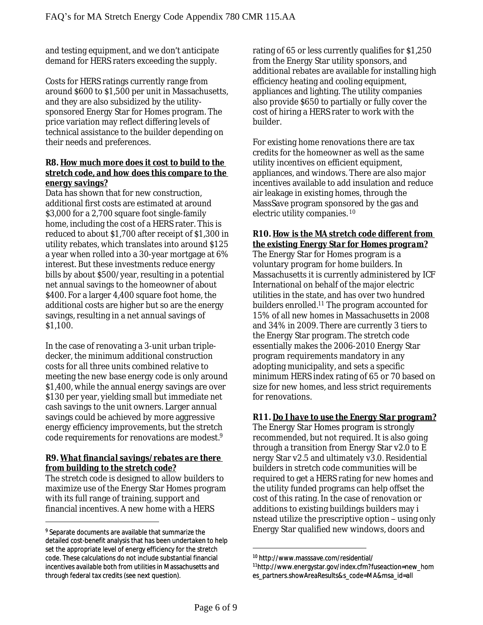and testing equipment, and we don't anticipate demand for HERS raters exceeding the supply.

Costs for HERS ratings currently range from around \$600 to \$1,500 per unit in Massachusetts, and they are also subsidized by the utilitysponsored Energy Star for Homes program. The price variation may reflect differing levels of technical assistance to the builder depending on their needs and preferences.

#### **R8.** *How much more does it cost to build to the stretch code, and how does this compare to the energy savings?*

Data has shown that for new construction, additional first costs are estimated at around \$3,000 for a 2,700 square foot single-family home, including the cost of a HERS rater. This is reduced to about \$1,700 after receipt of \$1,300 in utility rebates, which translates into around \$125 a year when rolled into a 30-year mortgage at 6% interest. But these investments reduce energy bills by about \$500/year, resulting in a potential net annual savings to the homeowner of about \$400. For a larger 4,400 square foot home, the additional costs are higher but so are the energy savings, resulting in a net annual savings of \$1,100.

In the case of renovating a 3-unit urban tripledecker, the minimum additional construction costs for all three units combined relative to meeting the new base energy code is only around \$1,400, while the annual energy savings are over \$130 per year, yielding small but immediate net cash savings to the unit owners. Larger annual savings could be achieved by more aggressive energy efficiency improvements, but the stretch code requirements for renovations are modest.<sup>9</sup>

#### **R9.** *What financial savings/rebates are there from building to the stretch code?*

The stretch code is designed to allow builders to maximize use of the Energy Star Homes program with its full range of training, support and financial incentives. A new home with a HERS

rating of 65 or less currently qualifies for \$1,250 from the Energy Star utility sponsors, and additional rebates are available for installing high efficiency heating and cooling equipment, appliances and lighting. The utility companies also provide \$650 to partially or fully cover the cost of hiring a HERS rater to work with the builder.

For existing home renovations there are tax credits for the homeowner as well as the same utility incentives on efficient equipment, appliances, and windows. There are also major incentives available to add insulation and reduce air leakage in existing homes, through the MassSave program sponsored by the gas and electric utility companies. <sup>10</sup>

#### **R10.** *How is the MA stretch code different from the existing Energy Star for Homes program?*

The Energy Star for Homes program is a voluntary program for home builders. In Massachusetts it is currently administered by ICF International on behalf of the major electric utilities in the state, and has over two hundred builders enrolled.<sup>11</sup> The program accounted for 15% of all new homes in Massachusetts in 2008 and 34% in 2009. There are currently 3 tiers to the Energy Star program. The stretch code essentially makes the 2006-2010 Energy Star program requirements mandatory in any adopting municipality, and sets a specific minimum HERS index rating of 65 or 70 based on size for new homes, and less strict requirements for renovations.

#### **R11.** *Do I have to use the Energy Star program?*

The Energy Star Homes program is strongly recommended, but not required. It is also going through a transition from Energy Star v2.0 to E nergy Star v2.5 and ultimately v3.0. Residential builders in stretch code communities will be required to get a HERS rating for new homes and the utility funded programs can help offset the cost of this rating. In the case of renovation or additions to existing buildings builders may i nstead utilize the prescriptive option – using only Energy Star qualified new windows, doors and

<sup>9</sup> Separate documents are available that summarize the detailed cost-benefit analysis that has been undertaken to help set the appropriate level of energy efficiency for the stretch code. These calculations do not include substantial financial incentives available both from utilities in Massachusetts and through federal tax credits (see next question).

<sup>10</sup> http://www.masssave.com/residential/

<sup>11</sup>http://www.energystar.gov/index.cfm?fuseaction=new\_hom es\_partners.showAreaResults&s\_code=MA&msa\_id=all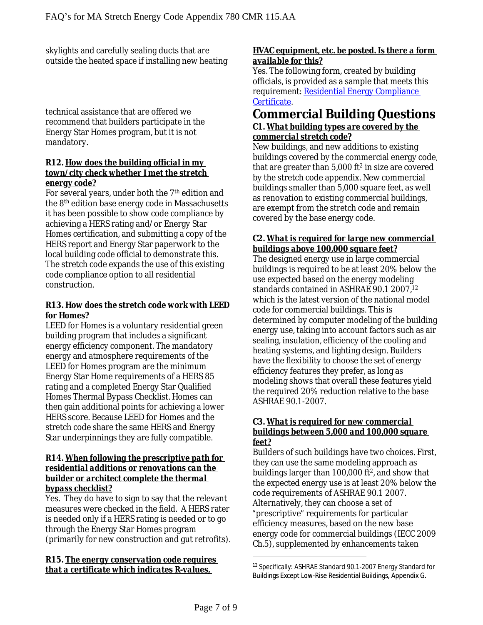skylights and carefully sealing ducts that are outside the heated space if installing new heating

technical assistance that are offered we recommend that builders participate in the Energy Star Homes program, but it is not mandatory.

#### **R12.** *How does the building official in my town/city check whether I met the stretch energy code?*

For several years, under both the 7<sup>th</sup> edition and the 8<sup>th</sup> edition base energy code in Massachusetts it has been possible to show code compliance by achieving a HERS rating and/or Energy Star Homes certification, and submitting a copy of the HERS report and Energy Star paperwork to the local building code official to demonstrate this. The stretch code expands the use of this existing code compliance option to all residential construction.

#### **R13.** *How does the stretch code work with LEED for Homes?*

LEED for Homes is a voluntary residential green building program that includes a significant energy efficiency component. The mandatory energy and atmosphere requirements of the LEED for Homes program are the minimum Energy Star Home requirements of a HERS 85 rating and a completed Energy Star Qualified Homes Thermal Bypass Checklist. Homes can then gain additional points for achieving a lower HERS score. Because LEED for Homes and the stretch code share the same HERS and Energy Star underpinnings they are fully compatible.

#### **R14.** *When following the prescriptive path for residential additions or renovations can the builder or architect complete the thermal bypass checklist?*

Yes. They do have to sign to say that the relevant measures were checked in the field. A HERS rater is needed only if a HERS rating is needed or to go through the Energy Star Homes program (primarily for new construction and gut retrofits).

# **R15.** *The energy conservation code requires*

# *available for this?*

Yes. The following form, created by building officials, is provided as a sample that meets this requirement: [Residential Energy Compliance](http://www.mass.gov/eopss/docs/dps/inf/Residential%20Energy%20Compliance%20Certificate%20v.2.pdf)  [Certificate.](http://www.mass.gov/eopss/docs/dps/inf/Residential%20Energy%20Compliance%20Certificate%20v.2.pdf)

#### **Commercial Building Questions C1.** *What building types are covered by the commercial stretch code?*

New buildings, and new additions to existing buildings covered by the commercial energy code, that are greater than  $5,000$  ft<sup>2</sup> in size are covered by the stretch code appendix. New commercial buildings smaller than 5,000 square feet, as well as renovation to existing commercial buildings, are exempt from the stretch code and remain covered by the base energy code.

#### **C2.** *What is required for large new commercial buildings above 100,000 square feet?*

slykights and careful posted. R-values and careful posted. *there if the slycing certification* and consider the slot of the slot of the slot of the slot of the slot of the slot of the slot of the slot of the slot of the The designed energy use in large commercial buildings is required to be at least 20% below the use expected based on the energy modeling standards contained in ASHRAE 90.1 2007,<sup>12</sup> which is the latest version of the national model code for commercial buildings. This is determined by computer modeling of the building energy use, taking into account factors such as air sealing, insulation, efficiency of the cooling and heating systems, and lighting design. Builders have the flexibility to choose the set of energy efficiency features they prefer, as long as modeling shows that overall these features yield the required 20% reduction relative to the base ASHRAE 90.1-2007.

#### **C3.** *What is required for new commercial buildings between 5,000 and 100,000 square feet?*

Builders of such buildings have two choices. First, they can use the same modeling approach as buildings larger than  $100,000$  ft<sup>2</sup>, and show that the expected energy use is at least 20% below the code requirements of ASHRAE 90.1 2007. Alternatively, they can choose a set of "prescriptive" requirements for particular efficiency measures, based on the new base energy code for commercial buildings (IECC 2009 Ch.5), supplemented by enhancements taken

<sup>12</sup> Specifically: ASHRAE Standard 90.1-2007 Energy Standard for Buildings Except Low-Rise Residential Buildings, Appendix G.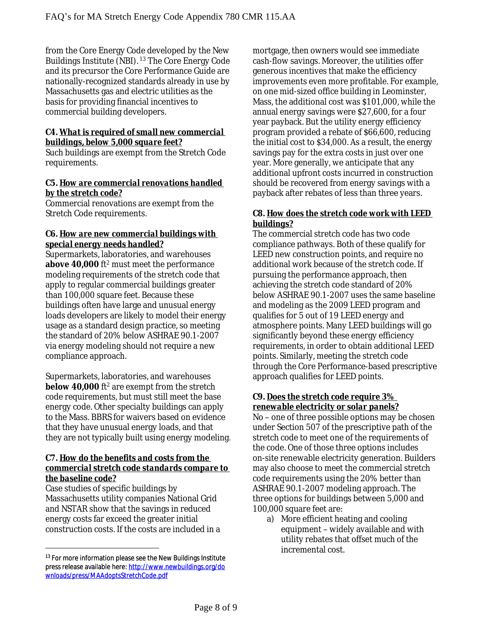from the Core Energy Code developed by the New Buildings Institute (NBI). <sup>13</sup> The Core Energy Code and its precursor the Core Performance Guide are nationally-recognized standards already in use by Massachusetts gas and electric utilities as the basis for providing financial incentives to commercial building developers.

#### **C4.** *What is required of small new commercial buildings, below 5,000 square feet?*

Such buildings are exempt from the Stretch Code requirements.

#### **C5.** *How are commercial renovations handled by the stretch code?*

Commercial renovations are exempt from the Stretch Code requirements.

#### **C6.** *How are new commercial buildings with special energy needs handled?*

Supermarkets, laboratories, and warehouses **above 40,000** ft<sup>2</sup> must meet the performance modeling requirements of the stretch code that apply to regular commercial buildings greater than 100,000 square feet. Because these buildings often have large and unusual energy loads developers are likely to model their energy usage as a standard design practice, so meeting the standard of 20% below ASHRAE 90.1-2007 via energy modeling should not require a new compliance approach.

Supermarkets, laboratories, and warehouses **below 40,000** ft<sup>2</sup> are exempt from the stretch code requirements, but must still meet the base energy code. Other specialty buildings can apply to the Mass. BBRS for waivers based on evidence that they have unusual energy loads, and that they are not typically built using energy modeling.

#### **C7.** *How do the benefits and costs from the commercial stretch code standards compare to the baseline code?*

Case studies of specific buildings by Massachusetts utility companies National Grid and NSTAR show that the savings in reduced energy costs far exceed the greater initial construction costs. If the costs are included in a mortgage, then owners would see immediate cash-flow savings. Moreover, the utilities offer generous incentives that make the efficiency improvements even more profitable. For example, on one mid-sized office building in Leominster, Mass, the additional cost was \$101,000, while the annual energy savings were \$27,600, for a four year payback. But the utility energy efficiency program provided a rebate of \$66,600, reducing the initial cost to \$34,000. As a result, the energy savings pay for the extra costs in just over one year. More generally, we anticipate that any additional upfront costs incurred in construction should be recovered from energy savings with a payback after rebates of less than three years.

#### **C8.** *How does the stretch code work with LEED buildings?*

The commercial stretch code has two code compliance pathways. Both of these qualify for LEED new construction points, and require no additional work because of the stretch code. If pursuing the performance approach, then achieving the stretch code standard of 20% below ASHRAE 90.1-2007 uses the same baseline and modeling as the 2009 LEED program and qualifies for 5 out of 19 LEED energy and atmosphere points. Many LEED buildings will go significantly beyond these energy efficiency requirements, in order to obtain additional LEED points. Similarly, meeting the stretch code through the Core Performance-based prescriptive approach qualifies for LEED points.

#### **C9.** *Does the stretch code require 3% renewable electricity or solar panels?*

No – one of three possible options may be chosen under Section 507 of the prescriptive path of the stretch code to meet one of the requirements of the code. One of those three options includes on-site renewable electricity generation. Builders may also choose to meet the commercial stretch code requirements using the 20% better than ASHRAE 90.1-2007 modeling approach. The three options for buildings between 5,000 and 100,000 square feet are:

a) More efficient heating and cooling equipment – widely available and with utility rebates that offset much of the incremental cost.

<sup>&</sup>lt;sup>13</sup> For more information please see the New Buildings Institute press release available here: [http://www.newbuildings.org/do](http://www.newbuildings.org/downloads/press/MAAdoptsStretchCode.pdf) wnloads/press/MAAdoptsStretchCode.pdf